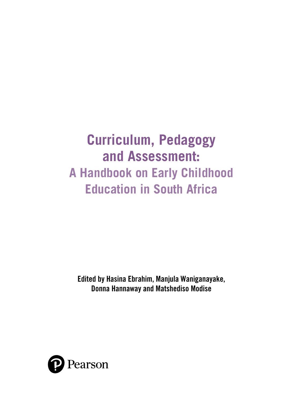# **Curriculum, Pedagogy and Assessment: A Handbook on Early Childhood Education in South Africa**

Edited by Hasina Ebrahim, Manjula Waniganayake, Donna Hannaway and Matshediso Modise

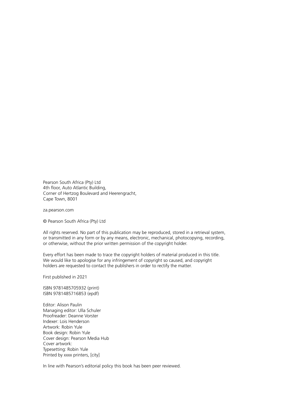Pearson South Africa (Pty) Ltd 4th floor, Auto Atlantic Building, Corner of Hertzog Boulevard and Heerengracht, Cape Town, 8001

za.pearson.com

© Pearson South Africa (Pty) Ltd

All rights reserved. No part of this publication may be reproduced, stored in a retrieval system, or transmitted in any form or by any means, electronic, mechanical, photocopying, recording, or otherwise, without the prior written permission of the copyright holder.

Every effort has been made to trace the copyright holders of material produced in this title. We would like to apologise for any infringement of copyright so caused, and copyright holders are requested to contact the publishers in order to rectify the matter.

First published in 2021

ISBN 9781485705932 (print) ISBN 9781485716853 (epdf)

Editor: Alison Paulin Managing editor: Ulla Schuler Proofreader: Deanne Vorster Indexer: Lois Henderson Artwork: Robin Yule Book design: Robin Yule Cover design: Pearson Media Hub Cover artwork: Typesetting: Robin Yule Printed by xxxx printers, [city]

In line with Pearson's editorial policy this book has been peer reviewed.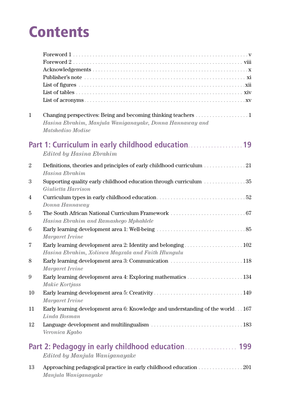# **Contents**

| $\mathbf{1}$    | Hasina Ebrahim, Manjula Waniganayake, Donna Hannaway and<br>Matshediso Modise                  |
|-----------------|------------------------------------------------------------------------------------------------|
|                 | Part 1: Curriculum in early childhood education<br><b>Edited by Hasina Ebrahim</b>             |
| $\overline{2}$  | Definitions, theories and principles of early childhood curriculum 21<br>Hasina Ebrahim        |
| 3               | Giulietta Harrison                                                                             |
| 4               | Donna Hannaway                                                                                 |
| 5               |                                                                                                |
|                 | Hasina Ebrahim and Ramashego Mphahlele                                                         |
| $6\phantom{.}6$ | Margaret Irvine                                                                                |
| 7               | Hasina Ebrahim, Xoliswa Magxala and Faith Hlungulu                                             |
| 8               | Margaret Irvine                                                                                |
| 9               | Makie Kortjass                                                                                 |
| 10              | Margaret Irvine                                                                                |
| 11              | Early learning development area 6: Knowledge and understanding of the world167<br>Linda Bosman |
| 12              | Veronica Kgabo                                                                                 |
|                 | Edited by Manjula Waniganayake                                                                 |
| 13              | Approaching pedagogical practice in early childhood education 201<br>Manjula Waniganayake      |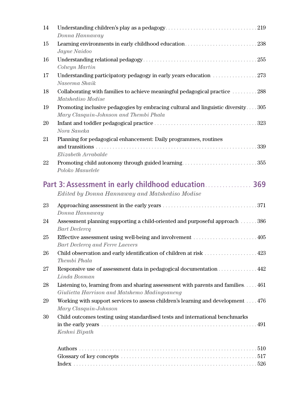| 14 | Donna Hannaway                                                                                                                            |
|----|-------------------------------------------------------------------------------------------------------------------------------------------|
| 15 | Learning environments in early childhood education238<br>Jayne Naidoo                                                                     |
| 16 | Colwyn Martin                                                                                                                             |
| 17 | Naseema Shaik                                                                                                                             |
| 18 | Collaborating with families to achieve meaningful pedagogical practice 288<br>Matshediso Modise                                           |
| 19 | Promoting inclusive pedagogies by embracing cultural and linguistic diversity305<br>Mary Clasquin-Johnson and Thembi Phala                |
| 20 | Nora Saneka                                                                                                                               |
| 21 | Planning for pedagogical enhancement: Daily programmes, routines<br>339<br>Elizabeth Arrabalde                                            |
| 22 | Promoting child autonomy through guided learning355<br>Poloko Masuelele                                                                   |
|    | Part 3: Assessment in early childhood education 369<br>Edited by Donna Hannaway and Matshediso Modise                                     |
| 23 | Donna Hannaway                                                                                                                            |
| 24 | Assessment planning supporting a child-oriented and purposeful approach  386<br><b>Bart Declercq</b>                                      |
| 25 | Bart Declercq and Ferre Laevers                                                                                                           |
| 26 | Child observation and early identification of children at risk 423<br>Thembi Phala                                                        |
| 27 | Responsive use of assessment data in pedagogical documentation 442<br>Linda Bosman                                                        |
| 28 | Listening to, learning from and sharing assessment with parents and families. $\dots$ 461<br>Giulietta Harrison and Matshemo Madingoaneng |
| 29 | Working with support services to assess children's learning and development 476<br>Mary Clasquin-Johnson                                  |
| 30 | Child outcomes testing using standardised tests and international benchmarks<br>Keshni Bipath                                             |
|    |                                                                                                                                           |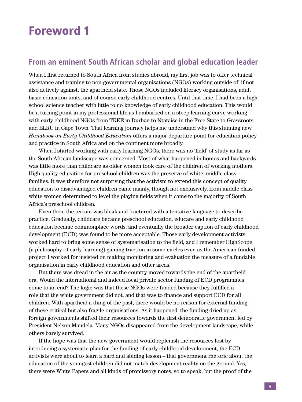### Foreword 1

#### **From an eminent South African scholar and global education leader**

When I first returned to South Africa from studies abroad, my first job was to offer technical assistance and training to non-governmental organisations (NGOs) working outside of, if not also actively against, the apartheid state. Those NGOs included literacy organisations, adult basic education units, and of course early childhood centres. Until that time, I had been a high school science teacher with little to no knowledge of early childhood education. This would be a turning point in my professional life as I embarked on a steep learning curve working with early childhood NGOs from TREE in Durban to Ntataise in the Free State to Grassroots and ELRU in Cape Town. That learning journey helps me understand why this stunning new *Handbook on Early Childhood Education* offers a major departure point for education policy and practice in South Africa and on the continent more broadly.

When I started working with early learning NGOs, there was no 'field' of study as far as the South African landscape was concerned. Most of what happened in homes and backyards was little more than childcare as older women took care of the children of working mothers. High quality education for preschool children was the preserve of white, middle class families. It was therefore not surprising that the activism to extend this concept of quality education to disadvantaged children came mainly, though not exclusively, from middle class white women determined to level the playing fields when it came to the majority of South Africa's preschool children.

Even then, the terrain was bleak and fractured with a tentative language to describe practice. Gradually, childcare became preschool education, educare and early childhood education became commonplace words, and eventually the broader caption of early childhood development (ECD) was found to be more acceptable. Those early development activists worked hard to bring some sense of systematisation to the field, and I remember HighScope (a philosophy of early learning) gaining traction in some circles even as the American-funded project I worked for insisted on making monitoring and evaluation the measure of a fundable organisation in early childhood education and other areas.

But there was dread in the air as the country moved towards the end of the apartheid era. Would the international and indeed local private sector funding of ECD programmes come to an end? The logic was that these NGOs were funded because they fulfilled a role that the white government did not, and that was to finance and support ECD for all children. With apartheid a thing of the past, there would be no reason for external funding of these critical but also fragile organisations. As it happened, the funding dried up as foreign governments shifted their resources towards the first democratic government led by President Nelson Mandela. Many NGOs disappeared from the development landscape, while others barely survived.

If the hope was that the new government would replenish the resources lost by introducing a systematic plan for the funding of early childhood development, the ECD activists were about to learn a hard and abiding lesson – that government rhetoric about the education of the youngest children did not match development reality on the ground. Yes, there were White Papers and all kinds of promissory notes, so to speak, but the proof of the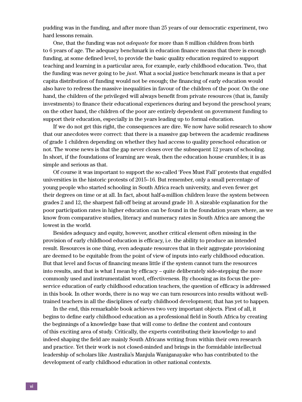pudding was in the funding, and after more than 25 years of our democratic experiment, two hard lessons remain.

One, that the funding was not *adequate* for more than 8 million children from birth to 6 years of age. The adequacy benchmark in education finance means that there is enough funding, at some defined level, to provide the basic quality education required to support teaching and learning in a particular area, for example, early childhood education. Two, that the funding was never going to be *just*. What a social justice benchmark means is that a per capita distribution of funding would not be enough; the financing of early education would also have to redress the massive inequalities in favour of the children of the poor. On the one hand, the children of the privileged will always benefit from private resources (that is, family investments) to finance their educational experiences during and beyond the preschool years; on the other hand, the children of the poor are entirely dependent on government funding to support their education, especially in the years leading up to formal education.

If we do not get this right, the consequences are dire. We now have solid research to show that our anecdotes were correct: that there is a massive gap between the academic readiness of grade 1 children depending on whether they had access to quality preschool education or not. The worse news is that the gap never closes over the subsequent 12 years of schooling. In short, if the foundations of learning are weak, then the education house crumbles; it is as simple and serious as that.

Of course it was important to support the so-called 'Fees Must Fall' protests that engulfed universities in the historic protests of 2015–16. But remember, only a small percentage of young people who started schooling in South Africa reach university, and even fewer get their degrees on time or at all. In fact, about half-a-million children leave the system between grades 2 and 12, the sharpest fall-off being at around grade 10. A sizeable explanation for the poor participation rates in higher education can be found in the foundation years where, as we know from comparative studies, literacy and numeracy rates in South Africa are among the lowest in the world.

Besides adequacy and equity, however, another critical element often missing in the provision of early childhood education is efficacy, i.e. the ability to produce an intended result. Resources is one thing, even adequate resources that in their aggregate provisioning are deemed to be equitable from the point of view of inputs into early childhood education. But that level and focus of financing means little if the system cannot turn the resources into results, and that is what I mean by efficacy – quite deliberately side-stepping the more commonly used and instrumentalist word, effectiveness. By choosing as its focus the preservice education of early childhood education teachers, the question of efficacy is addressed in this book. In other words, there is no way we can turn resources into results without welltrained teachers in all the disciplines of early childhood development; that has yet to happen.

In the end, this remarkable book achieves two very important objects. First of all, it begins to define early childhood education as a professional field in South Africa by creating the beginnings of a knowledge base that will come to define the content and contours of this exciting area of study. Critically, the experts contributing their knowledge to and indeed shaping the field are mainly South Africans writing from within their own research and practice. Yet their work is not closed-minded and brings in the formidable intellectual leadership of scholars like Australia's Manjula Waniganayake who has contributed to the development of early childhood education in other national contexts.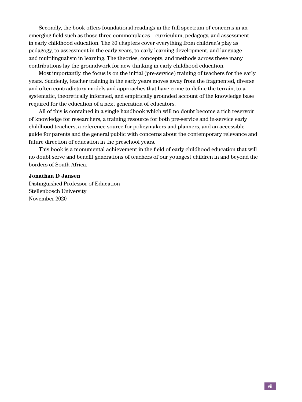Secondly, the book offers foundational readings in the full spectrum of concerns in an emerging field such as those three commonplaces – curriculum, pedagogy, and assessment in early childhood education. The 30 chapters cover everything from children's play as pedagogy, to assessment in the early years, to early learning development, and language and multilingualism in learning. The theories, concepts, and methods across these many contributions lay the groundwork for new thinking in early childhood education.

Most importantly, the focus is on the initial (pre-service) training of teachers for the early years. Suddenly, teacher training in the early years moves away from the fragmented, diverse and often contradictory models and approaches that have come to define the terrain, to a systematic, theoretically informed, and empirically grounded account of the knowledge base required for the education of a next generation of educators.

All of this is contained in a single handbook which will no doubt become a rich reservoir of knowledge for researchers, a training resource for both pre-service and in-service early childhood teachers, a reference source for policymakers and planners, and an accessible guide for parents and the general public with concerns about the contemporary relevance and future direction of education in the preschool years.

This book is a monumental achievement in the field of early childhood education that will no doubt serve and benefit generations of teachers of our youngest children in and beyond the borders of South Africa.

#### **Jonathan D Jansen**

Distinguished Professor of Education Stellenbosch University November 2020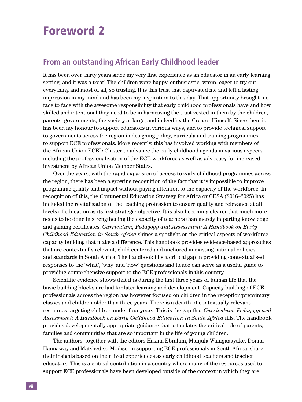### Foreword 2

#### **From an outstanding African Early Childhood leader**

It has been over thirty years since my very first experience as an educator in an early learning setting, and it was a treat! The children were happy, enthusiastic, warm, eager to try out everything and most of all, so trusting. It is this trust that captivated me and left a lasting impression in my mind and has been my inspiration to this day. That opportunity brought me face to face with the awesome responsibility that early childhood professionals have and how skilled and intentional they need to be in harnessing the trust vested in them by the children, parents, governments, the society at large, and indeed by the Creator Himself. Since then, it has been my honour to support educators in various ways, and to provide technical support to governments across the region in designing policy, curricula and training programmes to support ECE professionals. More recently, this has involved working with members of the African Union ECED Cluster to advance the early childhood agenda in various aspects, including the professionalisation of the ECE workforce as well as advocacy for increased investment by African Union Member States.

Over the years, with the rapid expansion of access to early childhood programmes across the region, there has been a growing recognition of the fact that it is impossible to improve programme quality and impact without paying attention to the capacity of the workforce. In recognition of this, the Continental Education Strategy for Africa or CESA (2016–2025) has included the revitalisation of the teaching profession to ensure quality and relevance at all levels of education as its first strategic objective. It is also becoming clearer that much more needs to be done in strengthening the capacity of teachers than merely imparting knowledge and gaining certificates. *Curriculum, Pedagogy and Assessment: A Handbook on Early Childhood Education in South Africa* shines a spotlight on the critical aspects of workforce capacity building that make a difference. This handbook provides evidence-based approaches that are contextually relevant, child centered and anchored in existing national policies and standards in South Africa. The handbook fills a critical gap in providing contextualised responses to the 'what', 'why' and 'how' questions and hence can serve as a useful guide to providing comprehensive support to the ECE professionals in this country.

Scientific evidence shows that it is during the first three years of human life that the basic building blocks are laid for later learning and development. Capacity building of ECE professionals across the region has however focused on children in the reception/preprimary classes and children older than three years. There is a dearth of contextually relevant resources targeting children under four years. This is the gap that *Curriculum, Pedagogy and Assessment: A Handbook on Early Childhood Education in South Africa* fills. The handbook provides developmentally appropriate guidance that articulates the critical role of parents, families and communities that are so important in the life of young children.

The authors, together with the editors Hasina Ebrahim, Manjula Waniganayake, Donna Hannaway and Matshediso Modise, in supporting ECE professionals in South Africa, share their insights based on their lived experiences as early childhood teachers and teacher educators. This is a critical contribution in a country where many of the resources used to support ECE professionals have been developed outside of the context in which they are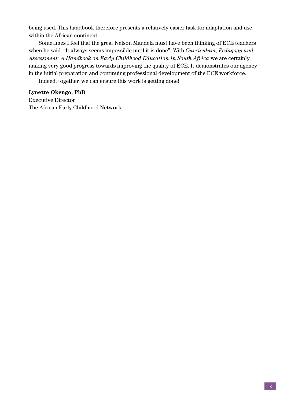being used. This handbook therefore presents a relatively easier task for adaptation and use within the African continent.

Sometimes I feel that the great Nelson Mandela must have been thinking of ECE teachers when he said: "It always seems impossible until it is done". With *Curriculum, Pedagogy and Assessment: A Handbook on Early Childhood Education in South Africa* we are certainly making very good progress towards improving the quality of ECE. It demonstrates our agency in the initial preparation and continuing professional development of the ECE workforce.

Indeed, together, we can ensure this work is getting done!

#### **Lynette Okengo, PhD**

Executive Director The African Early Childhood Network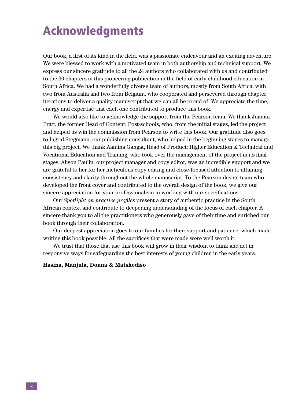## Acknowledgments

Our book, a first of its kind in the field, was a passionate endeavour and an exciting adventure. We were blessed to work with a motivated team in both authorship and technical support. We express our sincere gratitude to all the 24 authors who collaborated with us and contributed to the 30 chapters in this pioneering publication in the field of early childhood education in South Africa. We had a wonderfully diverse team of authors, mostly from South Africa, with two from Australia and two from Belgium, who cooperated and persevered through chapter iterations to deliver a quality manuscript that we can all be proud of. We appreciate the time, energy and expertise that each one contributed to produce this book.

We would also like to acknowledge the support from the Pearson team. We thank Juanita Pratt, the former Head of Content: Post-schools, who, from the initial stages, led the project and helped us win the commission from Pearson to write this book. Our gratitude also goes to Ingrid Stegmann, our publishing consultant, who helped in the beginning stages to manage this big project. We thank Aamina Gangat, Head of Product: Higher Education & Technical and Vocational Education and Training, who took over the management of the project in its final stages. Alison Paulin, our project manager and copy editor, was an incredible support and we are grateful to her for her meticulous copy editing and close-focused attention to attaining consistency and clarity throughout the whole manuscript. To the Pearson design team who developed the front cover and contributed to the overall design of the book, we give our sincere appreciation for your professionalism in working with our specifications.

Our *Spotlight on practice profiles* present a story of authentic practice in the South African context and contribute to deepening understanding of the focus of each chapter. A sincere thank you to all the practitioners who generously gave of their time and enriched our book through their collaboration.

Our deepest appreciation goes to our families for their support and patience, which made writing this book possible. All the sacrifices that were made were well worth it.

We trust that those that use this book will grow in their wisdom to think and act in responsive ways for safeguarding the best interests of young children in the early years.

#### **Hasina, Manjula, Donna & Matshediso**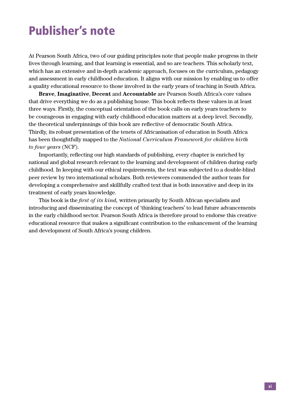## Publisher's note

At Pearson South Africa, two of our guiding principles note that people make progress in their lives through learning, and that learning is essential, and so are teachers. This scholarly text, which has an extensive and in-depth academic approach, focuses on the curriculum, pedagogy and assessment in early childhood education. It aligns with our mission by enabling us to offer a quality educational resource to those involved in the early years of teaching in South Africa.

**Brave**, **Imaginative**, **Decent** and **Accountable** are Pearson South Africa's core values that drive everything we do as a publishing house. This book reflects these values in at least three ways. Firstly, the conceptual orientation of the book calls on early years teachers to be courageous in engaging with early childhood education matters at a deep level. Secondly, the theoretical underpinnings of this book are reflective of democratic South Africa. Thirdly, its robust presentation of the tenets of Africanisation of education in South Africa has been thoughtfully mapped to the *National Curriculum Framework for children birth to four years* (NCF).

Importantly, reflecting our high standards of publishing, every chapter is enriched by national and global research relevant to the learning and development of children during early childhood. In keeping with our ethical requirements, the text was subjected to a double-blind peer review by two international scholars. Both reviewers commended the author team for developing a comprehensive and skillfully crafted text that is both innovative and deep in its treatment of early years knowledge.

This book is the *first of its kind,* written primarily by South African specialists and introducing and disseminating the concept of 'thinking teachers' to lead future advancements in the early childhood sector. Pearson South Africa is therefore proud to endorse this creative educational resource that makes a significant contribution to the enhancement of the learning and development of South Africa's young children.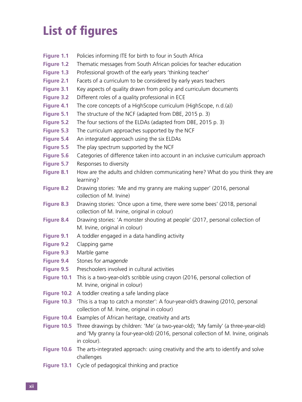## List of figures

- **Figure 1.1** Policies informing ITE for birth to four in South Africa
- **Figure 1.2** Thematic messages from South African policies for teacher education
- **Figure 1.3** Professional growth of the early years 'thinking teacher'
- **Figure 2.1** Facets of a curriculum to be considered by early years teachers
- **Figure 3.1** Key aspects of quality drawn from policy and curriculum documents
- **Figure 3.2** Different roles of a quality professional in ECE
- **Figure 4.1** The core concepts of a HighScope curriculum (HighScope, n.d.(a))
- **Figure 5.1** The structure of the NCF (adapted from DBE, 2015 p. 3)
- **Figure 5.2** The four sections of the ELDAs (adapted from DBE, 2015 p. 3)
- **Figure 5.3** The curriculum approaches supported by the NCF
- **Figure 5.4** An integrated approach using the six ELDAs
- **Figure 5.5** The play spectrum supported by the NCF
- **Figure 5.6** Categories of difference taken into account in an inclusive curriculum approach
- **Figure 5.7** Responses to diversity
- **Figure 8.1** How are the adults and children communicating here? What do you think they are learning?
- **Figure 8.2** Drawing stories: 'Me and my granny are making supper' (2016, personal collection of M. Irvine)
- **Figure 8.3** Drawing stories: 'Once upon a time, there were some bees' (2018, personal collection of M. Irvine, original in colour)
- **Figure 8.4** Drawing stories: 'A monster shouting at people' (2017, personal collection of M. Irvine, original in colour)
- **Figure 9.1** A toddler engaged in a data handling activity
- **Figure 9.2** Clapping game
- **Figure 9.3** Marble game
- **Figure 9.4** Stones for *amagende*
- **Figure 9.5** Preschoolers involved in cultural activities
- **Figure 10.1** This is a two-year-old's scribble using crayon (2016, personal collection of M. Irvine, original in colour)
- **Figure 10.2** A toddler creating a safe landing place
- **Figure 10.3** 'This is a trap to catch a monster': A four-year-old's drawing (2010, personal collection of M. Irvine, original in colour)
- **Figure 10.4** Examples of African heritage, creativity and arts
- **Figure 10.5** Three drawings by children: 'Me' (a two-year-old); 'My family' (a three-year-old) and 'My granny (a four-year-old) (2016, personal collection of M. Irvine, originals in colour).
- **Figure 10.6** The arts-integrated approach: using creativity and the arts to identify and solve challenges
- **Figure 13.1** Cycle of pedagogical thinking and practice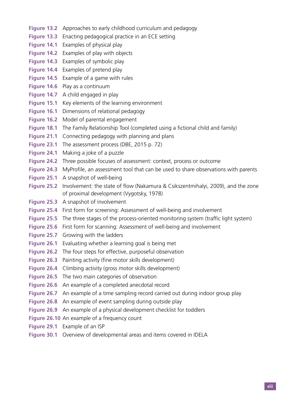- **Figure 13.2** Approaches to early childhood curriculum and pedagogy
- **Figure 13.3** Enacting pedagogical practice in an ECE setting
- **Figure 14.1** Examples of physical play
- **Figure 14.2** Examples of play with objects
- **Figure 14.3** Examples of symbolic play
- **Figure 14.4** Examples of pretend play
- **Figure 14.5** Example of a game with rules
- **Figure 14.6** Play as a continuum
- **Figure 14.7** A child engaged in play
- **Figure 15.1** Key elements of the learning environment
- **Figure 16.1** Dimensions of relational pedagogy
- **Figure 16.2** Model of parental engagement
- **Figure 18.1** The Family Relationship Tool (completed using a fictional child and family)
- **Figure 21.1** Connecting pedagogy with planning and plans
- **Figure 23.1** The assessment process (DBE, 2015 p. 72)
- **Figure 24.1** Making a joke of a puzzle
- **Figure 24.2** Three possible focuses of assessment: context, process or outcome
- **Figure 24.3** MyProfile, an assessment tool that can be used to share observations with parents
- **Figure 25.1** A snapshot of well-being
- **Figure 25.2** Involvement: the state of flow (Nakamura & Csikszentmihalyi, 2009), and the zone of proximal development (Vygotsky, 1978)
- **Figure 25.3** A snapshot of involvement
- **Figure 25.4** First form for screening: Assessment of well-being and involvement
- **Figure 25.5** The three stages of the process-oriented monitoring system (traffic light system)
- **Figure 25.6** First form for scanning: Assessment of well-being and involvement
- **Figure 25.7** Growing with the ladders
- **Figure 26.1** Evaluating whether a learning goal is being met
- **Figure 26.2** The four steps for effective, purposeful observation
- **Figure 26.3** Painting activity (fine motor skills development)
- **Figure 26.4** Climbing activity (gross motor skills development)
- **Figure 26.5** The two main categories of observation
- **Figure 26.6** An example of a completed anecdotal record
- **Figure 26.7** An example of a time sampling record carried out during indoor group play
- **Figure 26.8** An example of event sampling during outside play
- **Figure 26.9** An example of a physical development checklist for toddlers
- **Figure 26.10** An example of a frequency count
- **Figure 29.1** Example of an ISP
- **Figure 30.1** Overview of developmental areas and items covered in IDELA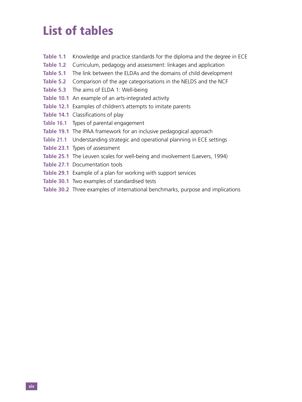## List of tables

- **Table 1.1** Knowledge and practice standards for the diploma and the degree in ECE
- **Table 1.2** Curriculum, pedagogy and assessment: linkages and application
- **Table 5.1** The link between the ELDAs and the domains of child development
- **Table 5.2** Comparison of the age categorisations in the NELDS and the NCF
- **Table 5.3** The aims of ELDA 1: Well-being
- **Table 10.1** An example of an arts-integrated activity
- **Table 12.1** Examples of children's attempts to imitate parents
- **Table 14.1** Classifications of play
- **Table 16.1** Types of parental engagement
- **Table 19.1** The IPAA framework for an inclusive pedagogical approach
- **Table 21.1** Understanding strategic and operational planning in ECE settings
- **Table 23.1** Types of assessment
- **Table 25.1** The Leuven scales for well-being and involvement (Laevers, 1994)
- **Table 27.1** Documentation tools
- **Table 29.1** Example of a plan for working with support services
- **Table 30.1** Two examples of standardised tests
- **Table 30.2** Three examples of international benchmarks, purpose and implications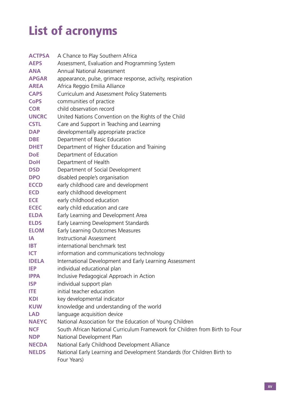# List of acronyms

| <b>ACTPSA</b> | A Chance to Play Southern Africa                                                        |
|---------------|-----------------------------------------------------------------------------------------|
| <b>AEPS</b>   | Assessment, Evaluation and Programming System                                           |
| <b>ANA</b>    | <b>Annual National Assessment</b>                                                       |
| <b>APGAR</b>  | appearance, pulse, grimace response, activity, respiration                              |
| <b>AREA</b>   | Africa Reggio Emilia Alliance                                                           |
| <b>CAPS</b>   | Curriculum and Assessment Policy Statements                                             |
| <b>CoPS</b>   | communities of practice                                                                 |
| <b>COR</b>    | child observation record                                                                |
| <b>UNCRC</b>  | United Nations Convention on the Rights of the Child                                    |
| <b>CSTL</b>   | Care and Support in Teaching and Learning                                               |
| <b>DAP</b>    | developmentally appropriate practice                                                    |
| <b>DBE</b>    | Department of Basic Education                                                           |
| <b>DHET</b>   | Department of Higher Education and Training                                             |
| <b>DoE</b>    | Department of Education                                                                 |
| <b>DoH</b>    | Department of Health                                                                    |
| <b>DSD</b>    | Department of Social Development                                                        |
| <b>DPO</b>    | disabled people's organisation                                                          |
| <b>ECCD</b>   | early childhood care and development                                                    |
| <b>ECD</b>    | early childhood development                                                             |
| <b>ECE</b>    | early childhood education                                                               |
| <b>ECEC</b>   | early child education and care                                                          |
| <b>ELDA</b>   | Early Learning and Development Area                                                     |
| <b>ELDS</b>   | Early Learning Development Standards                                                    |
| <b>ELOM</b>   | Early Learning Outcomes Measures                                                        |
| IA.           | <b>Instructional Assessment</b>                                                         |
| <b>IBT</b>    | international benchmark test                                                            |
| <b>ICT</b>    | information and communications technology                                               |
| <b>IDELA</b>  | International Development and Early Learning Assessment                                 |
| <b>IEP</b>    | individual educational plan                                                             |
| <b>IPPA</b>   | Inclusive Pedagogical Approach in Action                                                |
| <b>ISP</b>    | individual support plan                                                                 |
| ITE           | initial teacher education                                                               |
| <b>KDI</b>    | key developmental indicator                                                             |
| <b>KUW</b>    | knowledge and understanding of the world                                                |
| <b>LAD</b>    | language acquisition device                                                             |
| <b>NAEYC</b>  | National Association for the Education of Young Children                                |
| <b>NCF</b>    | South African National Curriculum Framework for Children from Birth to Four             |
| <b>NDP</b>    | National Development Plan                                                               |
| <b>NECDA</b>  | National Early Childhood Development Alliance                                           |
| <b>NELDS</b>  | National Early Learning and Development Standards (for Children Birth to<br>Four Years) |
|               |                                                                                         |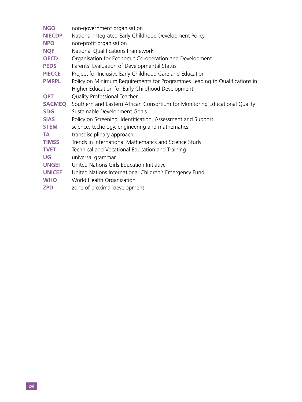| <b>NGO</b>    | non-government organisation                                                |
|---------------|----------------------------------------------------------------------------|
| <b>NIECDP</b> | National Integrated Early Childhood Development Policy                     |
| <b>NPO</b>    | non-profit organisation                                                    |
| <b>NQF</b>    | National Qualifications Framework                                          |
| <b>OECD</b>   | Organisation for Economic Co-operation and Development                     |
| <b>PEDS</b>   | Parents' Evaluation of Developmental Status                                |
| <b>PIECCE</b> | Project for Inclusive Early Childhood Care and Education                   |
| <b>PMRPL</b>  | Policy on Minimum Requirements for Programmes Leading to Qualifications in |
|               | Higher Education for Early Childhood Development                           |
| <b>QPT</b>    | Quality Professional Teacher                                               |
| <b>SACMEQ</b> | Southern and Eastern African Consortium for Monitoring Educational Quality |
| <b>SDG</b>    | Sustainable Development Goals                                              |
| <b>SIAS</b>   | Policy on Screening, Identification, Assessment and Support                |
| <b>STEM</b>   | science, techology, engineering and mathematics                            |
| <b>TA</b>     | transdisciplinary approach                                                 |
| <b>TIMSS</b>  | Trends in International Mathematics and Science Study                      |
| <b>TVET</b>   | Technical and Vocational Education and Training                            |
| UG            | universal grammar                                                          |
| <b>UNGEI</b>  | United Nations Girls Education Initiative                                  |
| <b>UNICEF</b> | United Nations International Children's Emergency Fund                     |
| <b>WHO</b>    | World Health Organization                                                  |
| <b>ZPD</b>    | zone of proximal development                                               |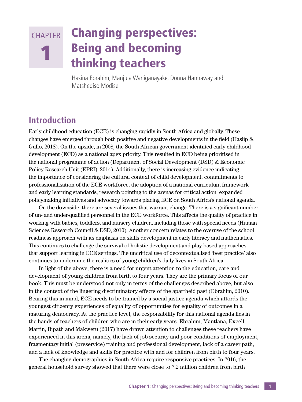#### 1 Changing perspectives: Being and becoming thinking teachers **CHAPTER**

Hasina Ebrahim, Manjula Waniganayake, Donna Hannaway and Matshediso Modise

#### **Introduction**

Early childhood education (ECE) is changing rapidly in South Africa and globally. These changes have emerged through both positive and negative developments in the field (Haslip & Gullo, 2018). On the upside, in 2008, the South African government identified early childhood development (ECD) as a national apex priority. This resulted in ECD being prioritised in the national programme of action (Department of Social Development (DSD) & Economic Policy Research Unit (EPRI), 2014). Additionally, there is increasing evidence indicating the importance of considering the cultural context of child development, commitments to professionalisation of the ECE workforce, the adoption of a national curriculum framework and early learning standards, research pointing to the arenas for critical action, expanded policymaking initiatives and advocacy towards placing ECE on South Africa's national agenda.

On the downside, there are several issues that warrant change. There is a significant number of un- and under-qualified personnel in the ECE workforce. This affects the quality of practice in working with babies, toddlers, and nursery children, including those with special needs (Human Sciences Research Council & DSD, 2010). Another concern relates to the overuse of the school readiness approach with its emphasis on skills development in early literacy and mathematics. This continues to challenge the survival of holistic development and play-based approaches that support learning in ECE settings. The uncritical use of decontextualised 'best practice' also continues to undermine the realities of young children's daily lives in South Africa.

In light of the above, there is a need for urgent attention to the education, care and development of young children from birth to four years. They are the primary focus of our book. This must be understood not only in terms of the challenges described above, but also in the context of the lingering discriminatory effects of the apartheid past (Ebrahim, 2010). Bearing this in mind, ECE needs to be framed by a social justice agenda which affords the youngest citizenry experiences of equality of opportunities for equality of outcomes in a maturing democracy. At the practice level, the responsibility for this national agenda lies in the hands of teachers of children who are in their early years. Ebrahim, Mantlana, Excell, Martin, Bipath and Makwetu (2017) have drawn attention to challenges these teachers have experienced in this arena, namely, the lack of job security and poor conditions of employment, fragmentary initial (preservice) training and professional development, lack of a career path, and a lack of knowledge and skills for practice with and for children from birth to four years.

The changing demographics in South Africa require responsive practices. In 2016, the general household survey showed that there were close to 7.2 million children from birth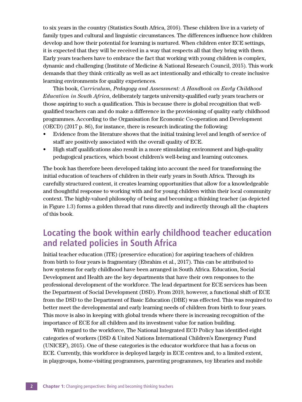to six years in the country (Statistics South Africa, 2016). These children live in a variety of family types and cultural and linguistic circumstances. The differences influence how children develop and how their potential for learning is nurtured. When children enter ECE settings, it is expected that they will be received in a way that respects all that they bring with them. Early years teachers have to embrace the fact that working with young children is complex, dynamic and challenging (Institute of Medicine & National Research Council, 2015). This work demands that they think critically as well as act intentionally and ethically to create inclusive learning environments for quality experiences.

This book, *Curriculum, Pedagogy and Assessment: A Handbook on Early Childhood Education in South Africa*, deliberately targets university-qualified early years teachers or those aspiring to such a qualification. This is because there is global recognition that wellqualified teachers can and do make a difference in the provisioning of quality early childhood programmes. According to the Organisation for Economic Co-operation and Development (OECD) (2017 p. 86), for instance, there is research indicating the following:

- Evidence from the literature shows that the initial training level and length of service of staff are positively associated with the overall quality of ECE.
- High staff qualifications also result in a more stimulating environment and high-quality pedagogical practices, which boost children's well-being and learning outcomes.

The book has therefore been developed taking into account the need for transforming the initial education of teachers of children in their early years in South Africa. Through its carefully structured content, it creates learning opportunities that allow for a knowledgeable and thoughtful response to working with and for young children within their local community context. The highly-valued philosophy of being and becoming a thinking teacher (as depicted in Figure 1.3) forms a golden thread that runs directly and indirectly through all the chapters of this book.

### **Locating the book within early childhood teacher education and related policies in South Africa**

Initial teacher education (ITE) (preservice education) for aspiring teachers of children from birth to four years is fragmentary (Ebrahim et al., 2017). This can be attributed to how systems for early childhood have been arranged in South Africa. Education, Social Development and Health are the key departments that have their own responses to the professional development of the workforce. The lead department for ECE services has been the Department of Social Development (DSD). From 2019, however, a functional shift of ECE from the DSD to the Department of Basic Education (DBE) was effected. This was required to better meet the developmental and early learning needs of children from birth to four years. This move is also in keeping with global trends where there is increasing recognition of the importance of ECE for all children and its investment value for nation building.

With regard to the workforce, The National Integrated ECD Policy has identified eight categories of workers (DSD & United Nations International Children's Emergency Fund (UNICEF), 2015). One of these categories is the educator workforce that has a focus on ECE. Currently, this workforce is deployed largely in ECE centres and, to a limited extent, in playgroups, home-visiting programmes, parenting programmes, toy libraries and mobile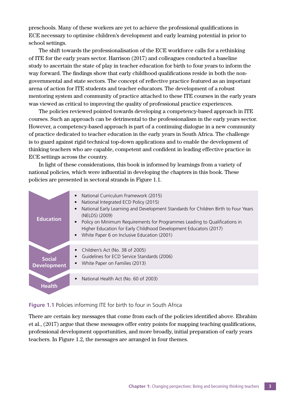preschools. Many of these workers are yet to achieve the professional qualifications in ECE necessary to optimise children's development and early learning potential in prior to school settings.

The shift towards the professionalisation of the ECE workforce calls for a rethinking of ITE for the early years sector. Harrison (2017) and colleagues conducted a baseline study to ascertain the state of play in teacher education for birth to four years to inform the way forward. The findings show that early childhood qualifications reside in both the nongovernmental and state sectors. The concept of reflective practice featured as an important arena of action for ITE students and teacher educators. The development of a robust mentoring system and community of practice attached to these ITE courses in the early years was viewed as critical to improving the quality of professional practice experiences.

The policies reviewed pointed towards developing a competency-based approach in ITE courses. Such an approach can be detrimental to the professionalism in the early years sector. However, a competency-based approach is part of a continuing dialogue in a new community of practice dedicated to teacher education in the early years in South Africa. The challenge is to guard against rigid technical top-down applications and to enable the development of thinking teachers who are capable, competent and confident in leading effective practice in ECE settings across the country.

In light of these considerations, this book is informed by learnings from a variety of national policies, which were influential in developing the chapters in this book. These policies are presented in sectoral strands in Figure 1.1.

| <b>Education</b>                    | National Curriculum Framework (2015)<br>National Integrated ECD Policy (2015)<br>National Early Learning and Development Standards for Children Birth to Four Years<br>(NELDS) (2009)<br>Policy on Minimum Requirements for Programmes Leading to Qualifications in<br>Higher Education for Early Childhood Development Educators (2017)<br>White Paper 6 on Inclusive Education (2001) |
|-------------------------------------|-----------------------------------------------------------------------------------------------------------------------------------------------------------------------------------------------------------------------------------------------------------------------------------------------------------------------------------------------------------------------------------------|
| <b>Social</b><br><b>Development</b> | Children's Act (No. 38 of 2005)<br>Guidelines for ECD Service Standards (2006)<br>White Paper on Families (2013)                                                                                                                                                                                                                                                                        |
| <b>Health</b>                       | National Health Act (No. 60 of 2003)                                                                                                                                                                                                                                                                                                                                                    |

#### **Figure 1.1** Policies informing ITE for birth to four in South Africa

There are certain key messages that come from each of the policies identified above. Ebrahim et al., (2017) argue that these messages offer entry points for mapping teaching qualifications, professional development opportunities, and more broadly, initial preparation of early years teachers. In Figure 1.2, the messages are arranged in four themes.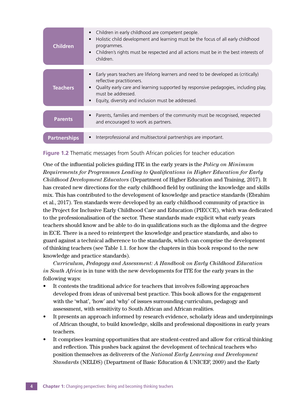| <b>Children</b>     | Children in early childhood are competent people.<br>$\bullet$<br>Holistic child development and learning must be the focus of all early childhood<br>$\bullet$<br>programmes.<br>Children's rights must be respected and all actions must be in the best interests of<br>$\bullet$<br>children.              |
|---------------------|---------------------------------------------------------------------------------------------------------------------------------------------------------------------------------------------------------------------------------------------------------------------------------------------------------------|
|                     |                                                                                                                                                                                                                                                                                                               |
| <b>Teachers</b>     | Early years teachers are lifelong learners and need to be developed as (critically)<br>reflective practitioners.<br>Quality early care and learning supported by responsive pedagogies, including play,<br>$\bullet$<br>must be addressed.<br>Equity, diversity and inclusion must be addressed.<br>$\bullet$ |
| <b>Parents</b>      | Parents, families and members of the community must be recognised, respected<br>$\bullet$<br>and encouraged to work as partners.                                                                                                                                                                              |
| <b>Partnerships</b> | Interprofessional and multisectoral partnerships are important.<br>$\bullet$                                                                                                                                                                                                                                  |
|                     |                                                                                                                                                                                                                                                                                                               |



One of the influential policies guiding ITE in the early years is the *Policy on Minimum Requirements for Programmes Leading to Qualifications in Higher Education for Early Childhood Development Educators* (Department of Higher Education and Training, 2017). It has created new directions for the early childhood field by outlining the knowledge and skills mix. This has contributed to the development of knowledge and practice standards (Ebrahim et al., 2017). Ten standards were developed by an early childhood community of practice in the Project for Inclusive Early Childhood Care and Education (PIECCE), which was dedicated to the professionalisation of the sector. These standards made explicit what early years teachers should know and be able to do in qualifications such as the diploma and the degree in ECE. There is a need to reinterpret the knowledge and practice standards, and also to guard against a technical adherence to the standards, which can comprise the development of thinking teachers (see Table 1.1. for how the chapters in this book respond to the new knowledge and practice standards).

*Curriculum, Pedagogy and Assessment: A Handbook on Early Childhood Education in South Africa* is in tune with the new developments for ITE for the early years in the following ways:

- It contests the traditional advice for teachers that involves following approaches developed from ideas of universal best practice. This book allows for the engagement with the 'what', 'how' and 'why' of issues surrounding curriculum, pedagogy and assessment, with sensitivity to South African and African realities.
- It presents an approach informed by research evidence, scholarly ideas and underpinnings of African thought, to build knowledge, skills and professional dispositions in early years teachers.
- It comprises learning opportunities that are student-centred and allow for critical thinking and reflection. This pushes back against the development of technical teachers who position themselves as deliverers of the *National Early Learning and Development Standards* (NELDS) (Department of Basic Education & UNICEF, 2009) and the Early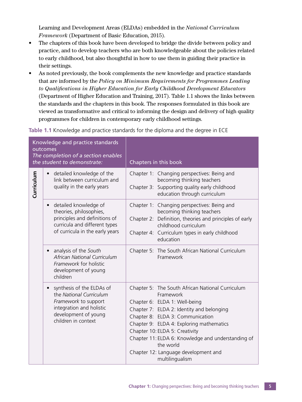Learning and Development Areas (ELDAs) embedded in the *National Curriculum Framework* (Department of Basic Education, 2015).

- The chapters of this book have been developed to bridge the divide between policy and practice, and to develop teachers who are both knowledgeable about the policies related to early childhood, but also thoughtful in how to use them in guiding their practice in their settings.
- As noted previously, the book complements the new knowledge and practice standards that are informed by the *Policy on Minimum Requirements for Programmes Leading to Qualifications in Higher Education for Early Childhood Development Educators* (Department of Higher Education and Training, 2017). Table 1.1 shows the links between the standards and the chapters in this book. The responses formulated in this book are viewed as transformative and critical to informing the design and delivery of high quality programmes for children in contemporary early childhood settings.

**Table 1.1** Knowledge and practice standards for the diploma and the degree in ECE

| Knowledge and practice standards<br>outcomes<br>The completion of a section enables<br>the student to demonstrate: |                                                                                                                                                                                             | Chapters in this book                                                                                                                                                                                                                                                                                                                                                                       |
|--------------------------------------------------------------------------------------------------------------------|---------------------------------------------------------------------------------------------------------------------------------------------------------------------------------------------|---------------------------------------------------------------------------------------------------------------------------------------------------------------------------------------------------------------------------------------------------------------------------------------------------------------------------------------------------------------------------------------------|
| Curriculum                                                                                                         | detailed knowledge of the<br>$\bullet$<br>link between curriculum and<br>quality in the early years                                                                                         | Chapter 1: Changing perspectives: Being and<br>becoming thinking teachers<br>Chapter 3: Supporting quality early childhood<br>education through curriculum                                                                                                                                                                                                                                  |
|                                                                                                                    | detailed knowledge of<br>$\bullet$<br>theories, philosophies,<br>principles and definitions of<br>curricula and different types<br>of curricula in the early years<br>analysis of the South | Chapter 1: Changing perspectives: Being and<br>becoming thinking teachers<br>Chapter 2: Definition, theories and principles of early<br>childhood curriculum<br>Chapter 4: Curriculum types in early childhood<br>education<br>Chapter 5: The South African National Curriculum                                                                                                             |
|                                                                                                                    | African National Curriculum<br>Framework for holistic<br>development of young<br>children                                                                                                   | Framework                                                                                                                                                                                                                                                                                                                                                                                   |
|                                                                                                                    | synthesis of the ELDAs of<br>$\bullet$<br>the National Curriculum<br>Framework to support<br>integration and holistic<br>development of young<br>children in context                        | Chapter 5: The South African National Curriculum<br>Framework<br>Chapter 6: ELDA 1: Well-being<br>Chapter 7: ELDA 2: Identity and belonging<br>Chapter 8: ELDA 3: Communication<br>Chapter 9: ELDA 4: Exploring mathematics<br>Chapter 10: ELDA 5: Creativity<br>Chapter 11: ELDA 6: Knowledge and understanding of<br>the world<br>Chapter 12: Language development and<br>multilingualism |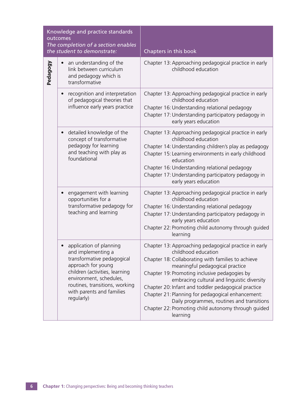| Knowledge and practice standards<br>outcomes<br>The completion of a section enables<br>the student to demonstrate: |                                                                                                                                                                                                                                             | Chapters in this book                                                                                                                                                                                                                                                                                                                                                                                                                                                                              |
|--------------------------------------------------------------------------------------------------------------------|---------------------------------------------------------------------------------------------------------------------------------------------------------------------------------------------------------------------------------------------|----------------------------------------------------------------------------------------------------------------------------------------------------------------------------------------------------------------------------------------------------------------------------------------------------------------------------------------------------------------------------------------------------------------------------------------------------------------------------------------------------|
| Pedagogy                                                                                                           | an understanding of the<br>link between curriculum<br>and pedagogy which is<br>transformative                                                                                                                                               | Chapter 13: Approaching pedagogical practice in early<br>childhood education                                                                                                                                                                                                                                                                                                                                                                                                                       |
|                                                                                                                    | recognition and interpretation<br>of pedagogical theories that<br>influence early years practice                                                                                                                                            | Chapter 13: Approaching pedagogical practice in early<br>childhood education<br>Chapter 16: Understanding relational pedagogy<br>Chapter 17: Understanding participatory pedagogy in<br>early years education                                                                                                                                                                                                                                                                                      |
|                                                                                                                    | detailed knowledge of the<br>$\bullet$<br>concept of transformative<br>pedagogy for learning<br>and teaching with play as<br>foundational                                                                                                   | Chapter 13: Approaching pedagogical practice in early<br>childhood education<br>Chapter 14: Understanding children's play as pedagogy<br>Chapter 15: Learning environments in early childhood<br>education<br>Chapter 16: Understanding relational pedagogy<br>Chapter 17: Understanding participatory pedagogy in<br>early years education                                                                                                                                                        |
|                                                                                                                    | engagement with learning<br>opportunities for a<br>transformative pedagogy for<br>teaching and learning                                                                                                                                     | Chapter 13: Approaching pedagogical practice in early<br>childhood education<br>Chapter 16: Understanding relational pedagogy<br>Chapter 17: Understanding participatory pedagogy in<br>early years education<br>Chapter 22: Promoting child autonomy through guided<br>learning                                                                                                                                                                                                                   |
|                                                                                                                    | application of planning<br>and implementing a<br>transformative pedagogical<br>approach for young<br>children (activities, learning<br>environment, schedules,<br>routines, transitions, working<br>with parents and families<br>regularly) | Chapter 13: Approaching pedagogical practice in early<br>childhood education<br>Chapter 18: Collaborating with families to achieve<br>meaningful pedagogical practice<br>Chapter 19: Promoting inclusive pedagogies by<br>embracing cultural and linguistic diversity<br>Chapter 20: Infant and toddler pedagogical practice<br>Chapter 21: Planning for pedagogical enhancement:<br>Daily programmes, routines and transitions<br>Chapter 22: Promoting child autonomy through guided<br>learning |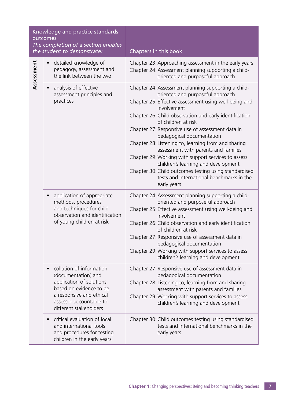| Knowledge and practice standards<br>outcomes<br>The completion of a section enables<br>the student to demonstrate: |                                                                                                                                                                                         | Chapters in this book                                                                                                                                                                                                                                                                                                                                                                                                                                                                                                                                                                                                                               |
|--------------------------------------------------------------------------------------------------------------------|-----------------------------------------------------------------------------------------------------------------------------------------------------------------------------------------|-----------------------------------------------------------------------------------------------------------------------------------------------------------------------------------------------------------------------------------------------------------------------------------------------------------------------------------------------------------------------------------------------------------------------------------------------------------------------------------------------------------------------------------------------------------------------------------------------------------------------------------------------------|
| Assessment                                                                                                         | detailed knowledge of<br>pedagogy, assessment and<br>the link between the two                                                                                                           | Chapter 23: Approaching assessment in the early years<br>Chapter 24: Assessment planning supporting a child-<br>oriented and purposeful approach                                                                                                                                                                                                                                                                                                                                                                                                                                                                                                    |
|                                                                                                                    | analysis of effective<br>assessment principles and<br>practices                                                                                                                         | Chapter 24: Assessment planning supporting a child-<br>oriented and purposeful approach<br>Chapter 25: Effective assessment using well-being and<br>involvement<br>Chapter 26: Child observation and early identification<br>of children at risk<br>Chapter 27: Responsive use of assessment data in<br>pedagogical documentation<br>Chapter 28: Listening to, learning from and sharing<br>assessment with parents and families<br>Chapter 29: Working with support services to assess<br>children's learning and development<br>Chapter 30: Child outcomes testing using standardised<br>tests and international benchmarks in the<br>early years |
|                                                                                                                    | application of appropriate<br>$\bullet$<br>methods, procedures<br>and techniques for child<br>observation and identification<br>of young children at risk                               | Chapter 24: Assessment planning supporting a child-<br>oriented and purposeful approach<br>Chapter 25: Effective assessment using well-being and<br>involvement<br>Chapter 26: Child observation and early identification<br>of children at risk<br>Chapter 27: Responsive use of assessment data in<br>pedagogical documentation<br>Chapter 29: Working with support services to assess<br>children's learning and development                                                                                                                                                                                                                     |
|                                                                                                                    | collation of information<br>(documentation) and<br>application of solutions<br>based on evidence to be<br>a responsive and ethical<br>assessor accountable to<br>different stakeholders | Chapter 27: Responsive use of assessment data in<br>pedagogical documentation<br>Chapter 28: Listening to, learning from and sharing<br>assessment with parents and families<br>Chapter 29: Working with support services to assess<br>children's learning and development                                                                                                                                                                                                                                                                                                                                                                          |
|                                                                                                                    | critical evaluation of local<br>and international tools<br>and procedures for testing<br>children in the early years                                                                    | Chapter 30: Child outcomes testing using standardised<br>tests and international benchmarks in the<br>early years                                                                                                                                                                                                                                                                                                                                                                                                                                                                                                                                   |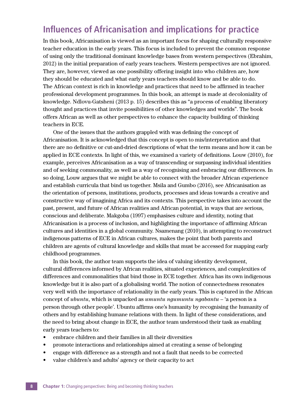### **Influences of Africanisation and implications for practice**

In this book, Africanisation is viewed as an important focus for shaping culturally responsive teacher education in the early years. This focus is included to prevent the common response of using only the traditional dominant knowledge bases from western perspectives (Ebrahim, 2012) in the initial preparation of early years teachers. Western perspectives are not ignored. They are, however, viewed as one possibility offering insight into who children are, how they should be educated and what early years teachers should know and be able to do. The African context is rich in knowledge and practices that need to be affirmed in teacher professional development programmes. In this book, an attempt is made at decoloniality of knowledge. Ndlovu-Gatsheni (2013 p. 15) describes this as "a process of enabling liberatory thought and practices that invite possibilities of other knowledges and worlds". The book offers African as well as other perspectives to enhance the capacity building of thinking teachers in ECE.

One of the issues that the authors grappled with was defining the concept of Africanisation. It is acknowledged that this concept is open to mis/interpretation and that there are no definitive or cut-and-dried descriptions of what the term means and how it can be applied in ECE contexts. In light of this, we examined a variety of definitions. Louw (2010), for example, perceives Africanisation as a way of transcending or surpassing individual identities and of seeking commonality, as well as a way of recognising and embracing our differences. In so doing, Louw argues that we might be able to connect with the broader African experience and establish curricula that bind us together. Msila and Gumbo (2016), see Africanisation as the orientation of persons, institutions, products, processes and ideas towards a creative and constructive way of imagining Africa and its contexts. This perspective takes into account the past, present, and future of African realities and African potential, in ways that are serious, conscious and deliberate. Makgoba (1997) emphasises culture and identity, noting that Africanisation is a process of inclusion, and highlighting the importance of affirming African cultures and identities in a global community. Nsamenang (2010), in attempting to reconstruct indigenous patterns of ECE in African cultures, makes the point that both parents and children are agents of cultural knowledge and skills that must be accessed for mapping early childhood programmes.

In this book, the author team supports the idea of valuing identity development, cultural differences informed by African realities, situated experiences, and complexities of differences and commonalities that bind those in ECE together. Africa has its own indigenous knowledge but it is also part of a globalising world. The notion of connectedness resonates very well with the importance of relationality in the early years. This is captured in the African concept of *ubuntu*, which is unpacked as *umuntu ngumuntu ngabantu* – 'a person is a person through other people'. Ubuntu affirms one's humanity by recognising the humanity of others and by establishing humane relations with them. In light of these considerations, and the need to bring about change in ECE, the author team understood their task as enabling early years teachers to:

- embrace children and their families in all their diversities
- promote interactions and relationships aimed at creating a sense of belonging
- engage with difference as a strength and not a fault that needs to be corrected
- value children's and adults' agency or their capacity to act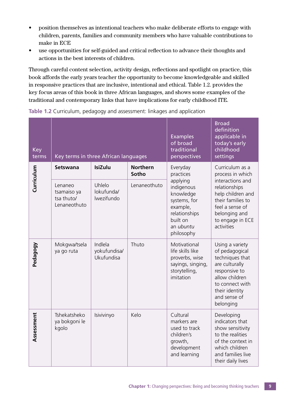- position themselves as intentional teachers who make deliberate efforts to engage with children, parents, families and community members who have valuable contributions to make in ECE
- use opportunities for self-guided and critical reflection to advance their thoughts and actions in the best interests of children.

Through careful content selection, activity design, reflections and spotlight on practice, this book affords the early years teacher the opportunity to become knowledgeable and skilled in responsive practices that are inclusive, intentional and ethical. Table 1.2. provides the key focus areas of this book in three African languages, and shows some examples of the traditional and contemporary links that have implications for early childhood ITE.

| <b>Key</b><br>terms | Key terms in three African languages                 |                                       |                          | <b>Examples</b><br>of broad<br>traditional<br>perspectives                                                              | <b>Broad</b><br>definition<br>applicable in<br>today's early<br>childhood<br>settings                                                                                       |
|---------------------|------------------------------------------------------|---------------------------------------|--------------------------|-------------------------------------------------------------------------------------------------------------------------|-----------------------------------------------------------------------------------------------------------------------------------------------------------------------------|
| Curriculum          | Setswana                                             | <b>IsiZulu</b>                        | <b>Northern</b><br>Sotho | Everyday<br>practices                                                                                                   | Curriculum as a<br>process in which                                                                                                                                         |
|                     | Lenaneo<br>tsamaiso ya<br>tsa thuto/<br>Lenaneothuto | Uhlelo<br>lokufunda/<br>lwezifundo    | Lenaneothuto             | applying<br>indigenous<br>knowledge<br>systems, for<br>example,<br>relationships<br>built on<br>an ubuntu<br>philosophy | interactions and<br>relationships<br>help children and<br>their families to<br>feel a sense of<br>belonging and<br>to engage in ECE<br>activities                           |
| Pedagogy            | Mokgwa/tsela<br>ya go ruta                           | Indlela<br>yokufundisa/<br>Ukufundisa | Thuto                    | Motivational<br>life skills like<br>proverbs, wise<br>sayings, singing,<br>storytelling,<br>imitation                   | Using a variety<br>of pedagogical<br>techniques that<br>are culturally<br>responsive to<br>allow children<br>to connect with<br>their identity<br>and sense of<br>belonging |
| Assessment          | Tshekatsheko<br>ya bokgoni le<br>kgolo               | Isivivinyo                            | Kelo                     | Cultural<br>markers are<br>used to track<br>children's<br>growth,<br>development<br>and learning                        | Developing<br>indicators that<br>show sensitivity<br>to the realities<br>of the context in<br>which children<br>and families live<br>their daily lives                      |

**Table 1.2** Curriculum, pedagogy and assessment: linkages and application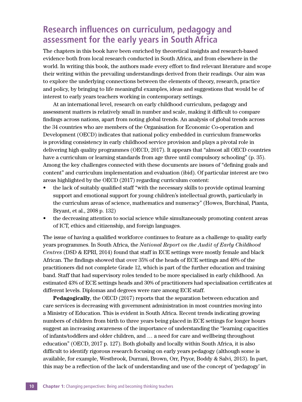### **Research influences on curriculum, pedagogy and assessment for the early years in South Africa**

The chapters in this book have been enriched by theoretical insights and research-based evidence both from local research conducted in South Africa, and from elsewhere in the world. In writing this book, the authors made every effort to find relevant literature and scope their writing within the prevailing understandings derived from their readings. Our aim was to explore the underlying connections between the elements of theory, research, practice and policy, by bringing to life meaningful examples, ideas and suggestions that would be of interest to early years teachers working in contemporary settings.

At an international level, research on early childhood curriculum, pedagogy and assessment matters is relatively small in number and scale, making it difficult to compare findings across nations, apart from noting global trends. An analysis of global trends across the 34 countries who are members of the Organisation for Economic Co-operation and Development (OECD) indicates that national policy embedded in curriculum frameworks is providing consistency in early childhood service provision and plays a pivotal role in delivering high quality programmes (OECD, 2017). It appears that "almost all OECD countries have a curriculum or learning standards from age three until compulsory schooling" (p. 35). Among the key challenges connected with these documents are issues of "defining goals and content" and curriculum implementation and evaluation (ibid). Of particular interest are two areas highlighted by the OECD (2017) regarding curriculum content:

- the lack of suitably qualified staff "with the necessary skills to provide optimal learning support and emotional support for young children's intellectual growth, particularly in the curriculum areas of science, mathematics and numeracy" (Howes, Burchinal, Pianta, Bryant, et al., 2008 p. 132)
- the decreasing attention to social science while simultaneously promoting content areas of ICT, ethics and citizenship, and foreign languages.

The issue of having a qualified workforce continues to feature as a challenge to quality early years programmes. In South Africa, the *National Report on the Audit of Early Childhood Centres* (DSD & EPRI, 2014) found that staff in ECE settings were mostly female and black African. The findings showed that over 35% of the heads of ECE settings and 40% of the practitioners did not complete Grade 12, which is part of the further education and training band. Staff that had supervisory roles tended to be more specialised in early childhood. An estimated 43% of ECE settings heads and 30% of practitioners had specialisation certificates at different levels. Diplomas and degrees were rare among ECE staff.

**Pedagogically**, the OECD (2017) reports that the separation between education and care services is decreasing with government administration in most countries moving into a Ministry of Education. This is evident in South Africa. Recent trends indicating growing numbers of children from birth to three years being placed in ECE settings for longer hours suggest an increasing awareness of the importance of understanding the "learning capacities of infants/toddlers and older children, and … a need for care and wellbeing throughout education" (OECD, 2017 p. 127). Both globally and locally within South Africa, it is also difficult to identify rigorous research focusing on early years pedagogy (although some is available, for example, Westbrook, Durrani, Brown, Orr, Pryor, Boddy & Salvi, 2013). In part, this may be a reflection of the lack of understanding and use of the concept of 'pedagogy' in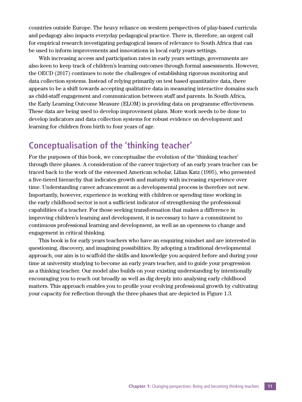countries outside Europe. The heavy reliance on western perspectives of play-based curricula and pedagogy also impacts everyday pedagogical practice. There is, therefore, an urgent call for empirical research investigating pedagogical issues of relevance to South Africa that can be used to inform improvements and innovations in local early years settings.

With increasing access and participation rates in early years settings, governments are also keen to keep track of children's learning outcomes through formal assessments. However, the OECD (2017) continues to note the challenges of establishing rigorous monitoring and data collection systems. Instead of relying primarily on test based quantitative data, there appears to be a shift towards accepting qualitative data in measuring interactive domains such as child-staff engagement and communication between staff and parents. In South Africa, the Early Learning Outcome Measure (ELOM) is providing data on programme effectiveness. These data are being used to develop improvement plans. More work needs to be done to develop indicators and data collection systems for robust evidence on development and learning for children from birth to four years of age.

### **Conceptualisation of the 'thinking teacher'**

For the purposes of this book, we conceptualise the evolution of the 'thinking teacher' through three phases. A consideration of the career trajectory of an early years teacher can be traced back to the work of the esteemed American scholar, Lilian Katz (1995), who presented a five-tiered hierarchy that indicates growth and maturity with increasing experience over time. Understanding career advancement as a developmental process is therefore not new. Importantly, however, experience in working with children or spending time working in the early childhood sector is not a sufficient indicator of strengthening the professional capabilities of a teacher. For those seeking transformation that makes a difference in improving children's learning and development, it is necessary to have a commitment to continuous professional learning and development, as well as an openness to change and engagement in critical thinking.

This book is for early years teachers who have an enquiring mindset and are interested in questioning, discovery, and imagining possibilities. By adopting a traditional developmental approach, our aim is to scaffold the skills and knowledge you acquired before and during your time at university studying to become an early years teacher, and to guide your progression as a thinking teacher. Our model also builds on your existing understanding by intentionally encouraging you to reach out broadly as well as dig deeply into analysing early childhood matters. This approach enables you to profile your evolving professional growth by cultivating your capacity for reflection through the three phases that are depicted in Figure 1.3.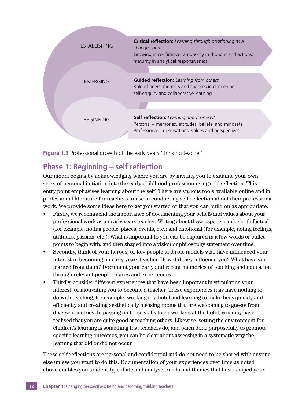| <b>ESTABLISHING</b> | Critical reflection: Learning through positioning as a<br>change agent<br>Growing in confidence; autonomy in thought and actions;<br>maturity in analytical responsiveness |  |
|---------------------|----------------------------------------------------------------------------------------------------------------------------------------------------------------------------|--|
|                     |                                                                                                                                                                            |  |
| EMERGING            | <b>Guided reflection:</b> Learning from others<br>Role of peers, mentors and coaches in deepening<br>self-enquiry and collaborative learning                               |  |
|                     |                                                                                                                                                                            |  |
| <b>BEGINNING</b>    | Self reflection: Learning about oneself<br>Personal – memories, attitudes, beliefs, and mindsets<br>Professional – observations, values and perspectives                   |  |
|                     |                                                                                                                                                                            |  |

**Figure 1.3** Professional growth of the early years 'thinking teacher'

#### **Phase 1: Beginning – self reflection**

Our model begins by acknowledging where you are by inviting you to examine your own story of personal initiation into the early childhood profession using self-reflection. This entry point emphasises learning about the self. There are various tools available online and in professional literature for teachers to use in conducting self-reflection about their professional work. We provide some ideas here to get you started or that you can build on as appropriate.

- Firstly, we recommend the importance of documenting your beliefs and values about your professional work as an early years teacher. Writing about these aspects can be both factual (for example, noting people, places, events, etc.) and emotional (for example, noting feelings, attitudes, passion, etc.). What is important to you can be captured in a few words or bullet points to begin with, and then shaped into a vision or philosophy statement over time.
- Secondly, think of your heroes, or key people and role models who have influenced your interest in becoming an early years teacher. How did they influence you? What have you learned from them? Document your early and recent memories of teaching and education through relevant people, places and experiences.
- Thirdly, consider different experiences that have been important in stimulating your interest, or motivating you to become a teacher. These experiences may have nothing to do with teaching, for example, working in a hotel and learning to make beds quickly and efficiently and creating aesthetically pleasing rooms that are welcoming to guests from diverse countries. In passing on these skills to co-workers at the hotel, you may have realised that you are quite good at teaching others. Likewise, setting the environment for children's learning is something that teachers do, and when done purposefully to promote specific learning outcomes, you can be clear about assessing in a systematic way the learning that did or did not occur.

These self-reflections are personal and confidential and do not need to be shared with anyone else unless you want to do this. Documentation of your experiences over time as noted above enables you to identify, collate and analyse trends and themes that have shaped your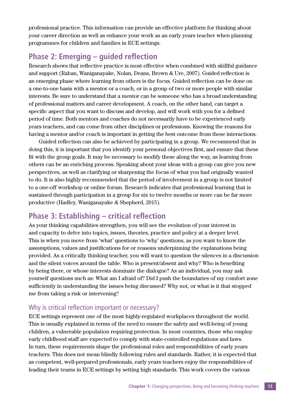professional practice. This information can provide an effective platform for thinking about your career direction as well as enhance your work as an early years teacher when planning programmes for children and families in ECE settings.

#### **Phase 2: Emerging – guided reflection**

Research shows that reflective practice is most effective when combined with skillful guidance and support (Raban, Waniganayake, Nolan, Deans, Brown & Ure, 2007). Guided reflection is an emerging phase where learning from others is the focus. Guided reflection can be done on a one-to-one basis with a mentor or a coach, or in a group of two or more people with similar interests. Be sure to understand that a mentor can be someone who has a broad understanding of professional matters and career development. A coach, on the other hand, can target a specific aspect that you want to discuss and develop, and will work with you for a defined period of time. Both mentors and coaches do not necessarily have to be experienced early years teachers, and can come from other disciplines or professions. Knowing the reasons for having a mentor and/or coach is important in getting the best outcome from these interactions.

Guided reflection can also be achieved by participating in a group. We recommend that in doing this, it is important that you identify your personal objectives first, and ensure that these fit with the group goals. It may be necessary to modify these along the way, as learning from others can be an enriching process. Speaking about your ideas with a group can give you new perspectives, as well as clarifying or sharpening the focus of what you had originally wanted to do. It is also highly recommended that the period of involvement in a group is not limited to a one-off workshop or online forum. Research indicates that professional learning that is sustained through participation in a group for six to twelve months or more can be far more productive (Hadley, Waniganayake & Shepherd, 2015).

#### **Phase 3: Establishing – critical reflection**

As your thinking capabilities strengthen, you will see the evolution of your interest in and capacity to delve into topics, issues, theories, practice and policy at a deeper level. This is when you move from 'what' questions to 'why' questions, as you want to know the assumptions, values and justifications for or reasons underpinning the explanations being provided. As a critically thinking teacher, you will want to question the silences in a discussion and the silent voices around the table. Who is present/absent and why? Who is benefiting by being there, or whose interests dominate the dialogue? As an individual, you may ask yourself questions such as: What am I afraid of? Did I push the boundaries of my comfort zone sufficiently in understanding the issues being discussed? Why not, or what is it that stopped me from taking a risk or intervening?

#### Why is critical reflection important or necessary?

ECE settings represent one of the most highly-regulated workplaces throughout the world. This is usually explained in terms of the need to ensure the safety and well-being of young children, a vulnerable population requiring protection. In most countries, those who employ early childhood staff are expected to comply with state-controlled regulations and laws. In turn, these requirements shape the professional roles and responsibilities of early years teachers. This does not mean blindly following rules and standards. Rather, it is expected that as competent, well-prepared professionals, early years teachers enjoy the responsibilities of leading their teams in ECE settings by setting high standards. This work covers the various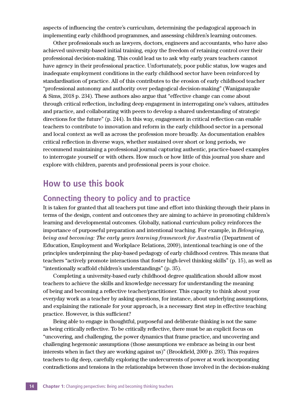aspects of influencing the centre's curriculum, determining the pedagogical approach in implementing early childhood programmes, and assessing children's learning outcomes.

Other professionals such as lawyers, doctors, engineers and accountants, who have also achieved university-based initial training, enjoy the freedom of retaining control over their professional decision-making. This could lead us to ask why early years teachers cannot have agency in their professional practice. Unfortunately, poor public status, low wages and inadequate employment conditions in the early childhood sector have been reinforced by standardisation of practice. All of this contributes to the erosion of early childhood teacher "professional autonomy and authority over pedagogical decision-making" (Waniganayake & Sims, 2018 p. 234). These authors also argue that "effective change can come about through critical reflection, including deep engagement in interrogating one's values, attitudes and practice, and collaborating with peers to develop a shared understanding of strategic directions for the future" (p. 244). In this way, engagement in critical reflection can enable teachers to contribute to innovation and reform in the early childhood sector in a personal and local context as well as across the profession more broadly. As documentation enables critical reflection in diverse ways, whether sustained over short or long periods, we recommend maintaining a professional journal capturing authentic, practice-based examples to interrogate yourself or with others. How much or how little of this journal you share and explore with children, parents and professional peers is your choice.

#### **How to use this book**

#### **Connecting theory to policy and to practice**

It is taken for granted that all teachers put time and effort into thinking through their plans in terms of the design, content and outcomes they are aiming to achieve in promoting children's learning and developmental outcomes. Globally, national curriculum policy reinforces the importance of purposeful preparation and intentional teaching. For example, in *Belonging, being and becoming: The early years learning framework for Australia* (Department of Education, Employment and Workplace Relations, 2009), intentional teaching is one of the principles underpinning the play-based pedagogy of early childhood centres. This means that teachers "actively promote interactions that foster high-level thinking skills" (p. 15), as well as "intentionally scaffold children's understandings" (p. 35).

Completing a university-based early childhood degree qualification should allow most teachers to achieve the skills and knowledge necessary for understanding the meaning of being and becoming a reflective teacher/practitioner. This capacity to think about your everyday work as a teacher by asking questions, for instance, about underlying assumptions, and explaining the rationale for your approach, is a necessary first step in effective teaching practice. However, is this sufficient?

Being able to engage in thoughtful, purposeful and deliberate thinking is not the same as being critically reflective. To be critically reflective, there must be an explicit focus on "uncovering, and challenging, the power dynamics that frame practice, and uncovering and challenging hegemonic assumptions (those assumptions we embrace as being in our best interests when in fact they are working against us)" (Brookfield, 2009 p. 293). This requires teachers to dig deep, carefully exploring the undercurrents of power at work incorporating contradictions and tensions in the relationships between those involved in the decision-making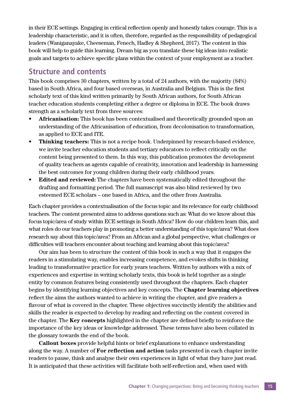in their ECE settings. Engaging in critical reflection openly and honestly takes courage. This is a leadership characteristic, and it is often, therefore, regarded as the responsibility of pedagogical leaders (Waniganayake, Cheeseman, Fenech, Hadley & Shepherd, 2017). The content in this book will help to guide this learning. Dream big as you translate these big ideas into realistic goals and targets to achieve specific plans within the context of your employment as a teacher.

#### **Structure and contents**

This book comprises 30 chapters, written by a total of 24 authors, with the majority (84%) based in South Africa, and four based overseas, in Australia and Belgium. This is the first scholarly text of this kind written primarily by South African authors, for South African teacher education students completing either a degree or diploma in ECE. The book draws strength as a scholarly text from three sources:

- **Africanisation:** This book has been contextualised and theoretically grounded upon an understanding of the Africanisation of education, from decolonisation to transformation, as applied to ECE and ITE.
- **Thinking teachers:** This is not a recipe book. Underpinned by research-based evidence, we invite teacher education students and tertiary educators to reflect critically on the content being presented to them. In this way, this publication promotes the development of quality teachers as agents capable of creativity, innovation and leadership in harnessing the best outcomes for young children during their early childhood years.
- **Edited and reviewed:** The chapters have been systematically edited throughout the drafting and formatting period. The full manuscript was also blind reviewed by two esteemed ECE scholars – one based in Africa, and the other from Australia.

Each chapter provides a contextualisation of the focus topic and its relevance for early childhood teachers. The content presented aims to address questions such as: What do we know about this focus topic/area of study within ECE settings in South Africa? How do our children learn this, and what roles do our teachers play in promoting a better understanding of this topic/area? What does research say about this topic/area? From an African and a global perspective, what challenges or difficulties will teachers encounter about teaching and learning about this topic/area?

Our aim has been to structure the content of this book in such a way that it engages the readers in a stimulating way, enables increasing competence, and evokes shifts in thinking leading to transformative practice for early years teachers. Written by authors with a mix of experiences and expertise in writing scholarly texts, this book is held together as a single entity by common features being consistently used throughout the chapters. Each chapter begins by identifying learning objectives and key concepts. The **Chapter learning objectives** reflect the aims the authors wanted to achieve in writing the chapter, and give readers a flavour of what is covered in the chapter. These objectives succinctly identify the abilities and skills the reader is expected to develop by reading and reflecting on the content covered in the chapter. The **Key concepts** highlighted in the chapter are defined briefly to reinforce the importance of the key ideas or knowledge addressed. These terms have also been collated in the glossary towards the end of the book.

**Callout boxes** provide helpful hints or brief explanations to enhance understanding along the way. A number of **For reflection and action** tasks presented in each chapter invite readers to pause, think and analyse their own experiences in light of what they have just read. It is anticipated that these activities will facilitate both self-reflection and, when used with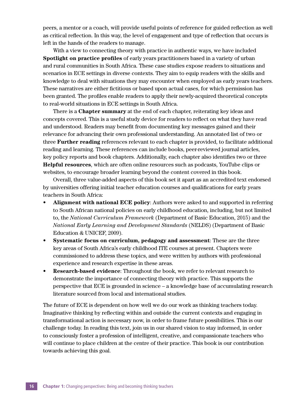peers, a mentor or a coach, will provide useful points of reference for guided reflection as well as critical reflection. In this way, the level of engagement and type of reflection that occurs is left in the hands of the readers to manage.

With a view to connecting theory with practice in authentic ways, we have included **Spotlight on practice profiles** of early years practitioners based in a variety of urban and rural communities in South Africa. These case studies expose readers to situations and scenarios in ECE settings in diverse contexts. They aim to equip readers with the skills and knowledge to deal with situations they may encounter when employed as early years teachers. These narratives are either fictitious or based upon actual cases, for which permission has been granted. The profiles enable readers to apply their newly-acquired theoretical concepts to real-world situations in ECE settings in South Africa.

There is a **Chapter summary** at the end of each chapter, reiterating key ideas and concepts covered. This is a useful study device for readers to reflect on what they have read and understood. Readers may benefit from documenting key messages gained and their relevance for advancing their own professional understanding. An annotated list of two or three **Further reading** references relevant to each chapter is provided, to facilitate additional reading and learning. These references can include books, peer-reviewed journal articles, key policy reports and book chapters. Additionally, each chapter also identifies two or three **Helpful resources**, which are often online resources such as podcasts, YouTube clips or websites, to encourage broader learning beyond the content covered in this book.

Overall, three value-added aspects of this book set it apart as an accredited text endorsed by universities offering initial teacher education courses and qualifications for early years teachers in South Africa:

- **Alignment with national ECE policy**: Authors were asked to and supported in referring to South African national policies on early childhood education, including, but not limited to, the *National Curriculum Framework* (Department of Basic Education, 2015) and the *National Early Learning and Development Standards* (NELDS) (Department of Basic Education & UNICEF, 2009).
- **Systematic focus on curriculum, pedagogy and assessment**: These are the three key areas of South Africa's early childhood ITE courses at present. Chapters were commissioned to address these topics, and were written by authors with professional experience and research expertise in these areas.
- **Research-based evidence**: Throughout the book, we refer to relevant research to demonstrate the importance of connecting theory with practice. This supports the perspective that ECE is grounded in science – a knowledge base of accumulating research literature sourced from local and international studies.

The future of ECE is dependent on how well we do our work as thinking teachers today. Imaginative thinking by reflecting within and outside the current contexts and engaging in transformational action is necessary now, in order to frame future possibilities. This is our challenge today. In reading this text, join us in our shared vision to stay informed, in order to consciously foster a profession of intelligent, creative, and compassionate teachers who will continue to place children at the centre of their practice. This book is our contribution towards achieving this goal.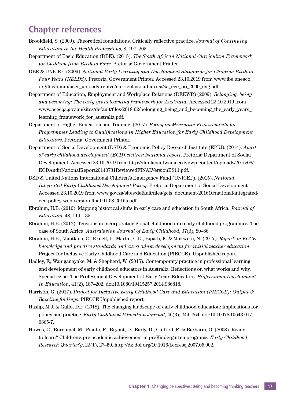### **Chapter references**

- Brookfield, S. (2009). Theoretical foundations. Critically reflective practice. *Journal of Continuing Education in the Health Professions*, 8, 197–205.
- Department of Basic Education (DBE). (2015). *The South African National Curriculum Framework for Children from Birth to Four*. Pretoria: Government Printer.
- DBE & UNICEF. (2009). *National Early Learning and Development Standards for Children Birth to Four Years (NELDS)*. Pretoria: Government Printer. Accessed 23.10.2019 from www.ibe.unesco. org/fileadmin/user\_upload/archive/curricula/southafrica/sa\_ece\_po\_2009\_eng.pdf.
- Department of Education, Employment and Workplace Relations (DEEWR) (2009). *Belonging, being and becoming: The early years learning framework for Australia.* Accessed 23.10.2019 from www.acecqa.gov.au/sites/default/files/2018-02/belonging\_being\_and\_becoming\_the\_early\_years\_ learning\_framework\_for\_australia.pdf.
- Department of Higher Education and Training. (2017). *Policy on Minimum Requirements for Programmes Leading to Qualifications in Higher Education for Early Childhood Development Educators*. Pretoria: Government Printer.
- Department of Social Development (DSD) & Economic Policy Research Institute (EPRI). (2014). *Audit of early childhood development (ECD) centres: National report*. Pretoria: Department of Social Development. Accessed 23.10.2019 from http://ilifalabantwana.co.za/wp-content/uploads/2015/08/ ECDAuditNationalReport20140731ReviewedFINALVersionES11.pdf.
- DSD & United Nations International Children's Emergency Fund (UNICEF). (2015). *National Integrated Early Childhood Development Policy*. Pretoria: Department of Social Development. Accessed 23.10.2019 from www.gov.za/sites/default/files/gcis\_document/201610/national-integratedecd-policy-web-version-final-01-08-2016a.pdf.
- Ebrahim, H.B. (2010). Mapping historical shifts in early care and education in South Africa. *Journal of Education*, 48, 119–135.
- Ebrahim, H.B. (2012). Tensions in incorporating global childhood into early childhood programmes: The case of South Africa. *Australasian Journal of Early Childhood*, 37(3), 80–86.
- Ebrahim, H.B., Mantlana, C., Excell, L., Martin, C.D., Bipath, K. & Makwetu, N. (2017). *Report on ECCE knowledge and practice standards and curriculum development for initial teacher education*. Project for Inclusive Early Childhood Care and Education (PIECCE). Unpublished report.
- Hadley, F., Waniganayake, M. & Shepherd, W. (2015). Contemporary practice in professional learning and development of early childhood educators in Australia: Reflections on what works and why. Special Issue: The Professional Development of Early Years Educators*. Professional Development in Education*, 41(2), 187–202. doi:10.1080/19415257.2014.986818.
- Harrison, G. (2017). *Project for Inclusive Early Childhood Care and Education (PIECCE): Output 2: Baseline findings*. PIECCE Unpublished report.
- Haslip, M.J. & Gullo, D.F. (2018). The changing landscape of early childhood education: Implications for policy and practice. *Early Childhood Education Journal*, 46(3), 249–264. doi:10.1007/s10643-017- 0865-7.
- Howes, C., Burchinal, M., Pianta, R., Bryant, D., Early, D., Clifford, R. & Barbarin, O. (2008). Ready to learn? Children's pre-academic achievement in preKindergarten programs. *Early Childhood Research Quarterly*, 23(1), 27–50, http://dx.doi.org/10.1016/j.ecresq.2007.05.002.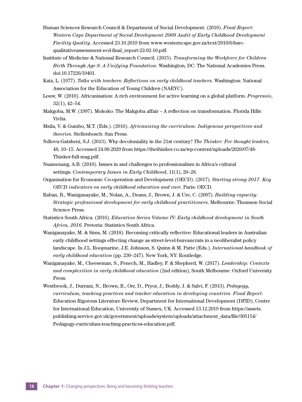- Human Sciences Research Council & Department of Social Development. (2010). *Final Report: Western Cape Department of Social Development 2009 Audit of Early Childhood Development Facility Quality*. Accessed 23.10.2019 from www.westerncape.gov.za/text/2010/6/hsrcqualitativeassessment-ecd-final\_report-22-02-10.pdf.
- Institute of Medicine & National Research Council. (2015). *Transforming the Workforce for Children Birth Through Age 8: A Unifying Foundation*. Washington, DC: The National Academies Press. doi:10.17226/19401.
- Katz, L. (1977). *Talks with teachers: Reflections on early childhood teachers*. Washington: National Association for the Education of Young Children (NAEYC).
- Louw, W. (2010). Africanisation: A rich environment for active learning on a global platform. *Progressio*, 32(1), 42–54.
- Makgoba, M.W. (1997). Mokoko: The Makgoba affair A reflection on transformation. Florida Hills: Vivlia.
- Msila, V. & Gumbo, M.T. (Eds.). (2016). *Africanising the curriculum: Indigenous perspectives and theories*. Stellenbosch: Sun Press.
- Ndlovu-Gatsheni, S.J. (2013). Why decoloniality in the 21st century? *The Thinker: For thought leaders*, 48, 10–15. Accessed 24.09.2020 from https://thethinker.co.za/wp-content/uploads/2020/07/48- Thinker-full-mag.pdf.
- Nsamenang, A.B. (2010). Issues in and challenges to professionalism in Africa's cultural settings. *Contemporary Issues in Early Childhood*, 11(1), 20–28.
- Organisation for Economic Co-operation and Development (OECD). (2017). *Starting strong 2017. Key OECD indicators on early childhood education and care*. Paris: OECD.
- Raban, B., Waniganayake, M., Nolan, A., Deans, J., Brown, J. & Ure, C. (2007). *Building capacity: Strategic professional development for early childhood practitioners*. Melbourne: Thomson Social Science Press.
- Statistics South Africa. (2016). *Education Series Volume IV: Early childhood development in South Africa, 2016*. Pretoria: Statistics South Africa.
- Waniganayake, M. & Sims, M. (2018). Becoming critically reflective: Educational leaders in Australian early childhood settings effecting change as street-level-bureaucrats in a neoliberalist policy landscape. In J.L. Roopnarine, J.E. Johnson, S. Quinn & M. Patte (Eds.). *International handbook of early childhood education* (pp. 230–247). New York, NY: Routledge.
- Waniganayake, M., Cheeseman, S., Fenech, M., Hadley, F. & Shepherd, W. (2017). *Leadership: Contexts and complexities in early childhood education* (2nd edition), South Melbourne: Oxford University Press.
- Westbrook, J., Durrani, N., Brown, R., Orr, D., Pryor, J., Boddy, J. & Salvi, F. (2013). *Pedagogy, curriculum, teaching practices and teacher education in developing countries. Final Report*. Education Rigorous Literature Review, Department for International Development (DFID), Centre for International Education, University of Sussex, UK. Accessed 13.12.2019 from https://assets. publishing.service.gov.uk/government/uploads/system/uploads/attachment\_data/file/305154/ Pedagogy-curriculum-teaching-practices-education.pdf.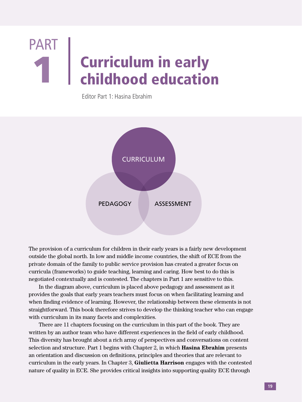# Curriculum in early T | Curriculum in early<br>
childhood education PART

Editor Part 1: Hasina Ebrahim



The provision of a curriculum for children in their early years is a fairly new development outside the global north. In low and middle income countries, the shift of ECE from the private domain of the family to public service provision has created a greater focus on curricula (frameworks) to guide teaching, learning and caring. How best to do this is negotiated contextually and is contested. The chapters in Part 1 are sensitive to this.

In the diagram above, curriculum is placed above pedagogy and assessment as it provides the goals that early years teachers must focus on when facilitating learning and when finding evidence of learning. However, the relationship between these elements is not straightforward. This book therefore strives to develop the thinking teacher who can engage with curriculum in its many facets and complexities.

There are 11 chapters focusing on the curriculum in this part of the book. They are written by an author team who have different experiences in the field of early childhood. This diversity has brought about a rich array of perspectives and conversations on content selection and structure. Part 1 begins with Chapter 2, in which **Hasina Ebrahim** presents an orientation and discussion on definitions, principles and theories that are relevant to curriculum in the early years. In Chapter 3, **Giulietta Harrison** engages with the contested nature of quality in ECE. She provides critical insights into supporting quality ECE through